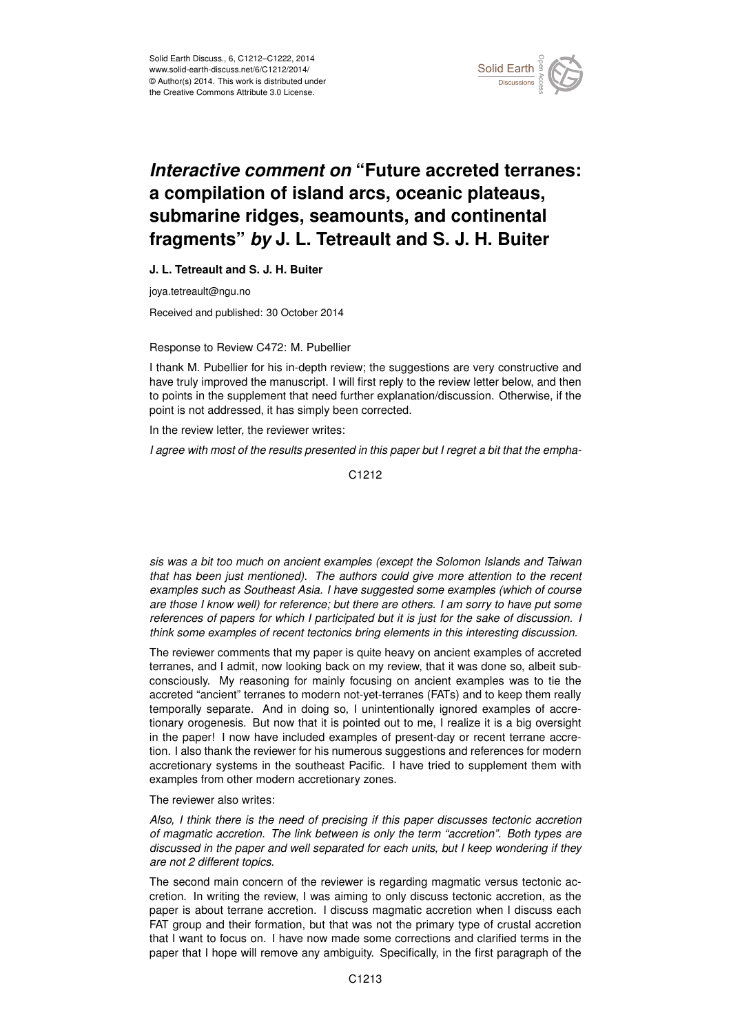

## *Interactive comment on* **"Future accreted terranes: a compilation of island arcs, oceanic plateaus, submarine ridges, seamounts, and continental fragments"** *by* **J. L. Tetreault and S. J. H. Buiter**

**J. L. Tetreault and S. J. H. Buiter**

joya.tetreault@ngu.no

Received and published: 30 October 2014

Response to Review C472: M. Pubellier

I thank M. Pubellier for his in-depth review; the suggestions are very constructive and have truly improved the manuscript. I will first reply to the review letter below, and then to points in the supplement that need further explanation/discussion. Otherwise, if the point is not addressed, it has simply been corrected.

In the review letter, the reviewer writes:

*I agree with most of the results presented in this paper but I regret a bit that the empha-*

C<sub>1212</sub>

*sis was a bit too much on ancient examples (except the Solomon Islands and Taiwan that has been just mentioned). The authors could give more attention to the recent examples such as Southeast Asia. I have suggested some examples (which of course are those I know well) for reference; but there are others. I am sorry to have put some references of papers for which I participated but it is just for the sake of discussion. I think some examples of recent tectonics bring elements in this interesting discussion.*

The reviewer comments that my paper is quite heavy on ancient examples of accreted terranes, and I admit, now looking back on my review, that it was done so, albeit subconsciously. My reasoning for mainly focusing on ancient examples was to tie the accreted "ancient" terranes to modern not-yet-terranes (FATs) and to keep them really temporally separate. And in doing so, I unintentionally ignored examples of accretionary orogenesis. But now that it is pointed out to me, I realize it is a big oversight in the paper! I now have included examples of present-day or recent terrane accretion. I also thank the reviewer for his numerous suggestions and references for modern accretionary systems in the southeast Pacific. I have tried to supplement them with examples from other modern accretionary zones.

The reviewer also writes:

*Also, I think there is the need of precising if this paper discusses tectonic accretion of magmatic accretion. The link between is only the term "accretion". Both types are discussed in the paper and well separated for each units, but I keep wondering if they are not 2 different topics.*

The second main concern of the reviewer is regarding magmatic versus tectonic accretion. In writing the review, I was aiming to only discuss tectonic accretion, as the paper is about terrane accretion. I discuss magmatic accretion when I discuss each FAT group and their formation, but that was not the primary type of crustal accretion that I want to focus on. I have now made some corrections and clarified terms in the paper that I hope will remove any ambiguity. Specifically, in the first paragraph of the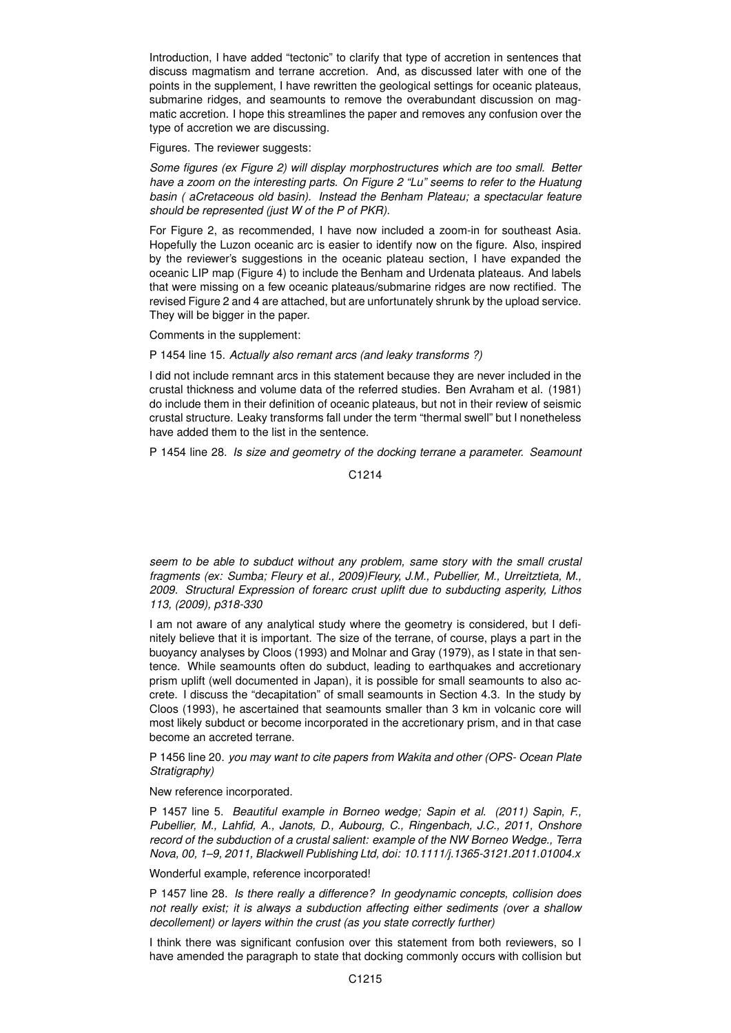Introduction, I have added "tectonic" to clarify that type of accretion in sentences that discuss magmatism and terrane accretion. And, as discussed later with one of the points in the supplement, I have rewritten the geological settings for oceanic plateaus, submarine ridges, and seamounts to remove the overabundant discussion on magmatic accretion. I hope this streamlines the paper and removes any confusion over the type of accretion we are discussing.

Figures. The reviewer suggests:

*Some figures (ex Figure 2) will display morphostructures which are too small. Better have a zoom on the interesting parts. On Figure 2 "Lu" seems to refer to the Huatung basin ( aCretaceous old basin). Instead the Benham Plateau; a spectacular feature should be represented (just W of the P of PKR).*

For Figure 2, as recommended, I have now included a zoom-in for southeast Asia. Hopefully the Luzon oceanic arc is easier to identify now on the figure. Also, inspired by the reviewer's suggestions in the oceanic plateau section, I have expanded the oceanic LIP map (Figure 4) to include the Benham and Urdenata plateaus. And labels that were missing on a few oceanic plateaus/submarine ridges are now rectified. The revised Figure 2 and 4 are attached, but are unfortunately shrunk by the upload service. They will be bigger in the paper.

Comments in the supplement:

P 1454 line 15. *Actually also remant arcs (and leaky transforms ?)*

I did not include remnant arcs in this statement because they are never included in the crustal thickness and volume data of the referred studies. Ben Avraham et al. (1981) do include them in their definition of oceanic plateaus, but not in their review of seismic crustal structure. Leaky transforms fall under the term "thermal swell" but I nonetheless have added them to the list in the sentence.

P 1454 line 28. *Is size and geometry of the docking terrane a parameter. Seamount*

C<sub>1214</sub>

*seem to be able to subduct without any problem, same story with the small crustal fragments (ex: Sumba; Fleury et al., 2009)Fleury, J.M., Pubellier, M., Urreitztieta, M., 2009. Structural Expression of forearc crust uplift due to subducting asperity, Lithos 113, (2009), p318-330*

I am not aware of any analytical study where the geometry is considered, but I definitely believe that it is important. The size of the terrane, of course, plays a part in the buoyancy analyses by Cloos (1993) and Molnar and Gray (1979), as I state in that sentence. While seamounts often do subduct, leading to earthquakes and accretionary prism uplift (well documented in Japan), it is possible for small seamounts to also accrete. I discuss the "decapitation" of small seamounts in Section 4.3. In the study by Cloos (1993), he ascertained that seamounts smaller than 3 km in volcanic core will most likely subduct or become incorporated in the accretionary prism, and in that case become an accreted terrane.

P 1456 line 20. *you may want to cite papers from Wakita and other (OPS- Ocean Plate Stratigraphy)*

New reference incorporated.

P 1457 line 5. *Beautiful example in Borneo wedge; Sapin et al. (2011) Sapin, F., Pubellier, M., Lahfid, A., Janots, D., Aubourg, C., Ringenbach, J.C., 2011, Onshore record of the subduction of a crustal salient: example of the NW Borneo Wedge., Terra Nova, 00, 1–9, 2011, Blackwell Publishing Ltd, doi: 10.1111/j.1365-3121.2011.01004.x*

Wonderful example, reference incorporated!

P 1457 line 28. *Is there really a difference? In geodynamic concepts, collision does not really exist; it is always a subduction affecting either sediments (over a shallow decollement) or layers within the crust (as you state correctly further)*

I think there was significant confusion over this statement from both reviewers, so I have amended the paragraph to state that docking commonly occurs with collision but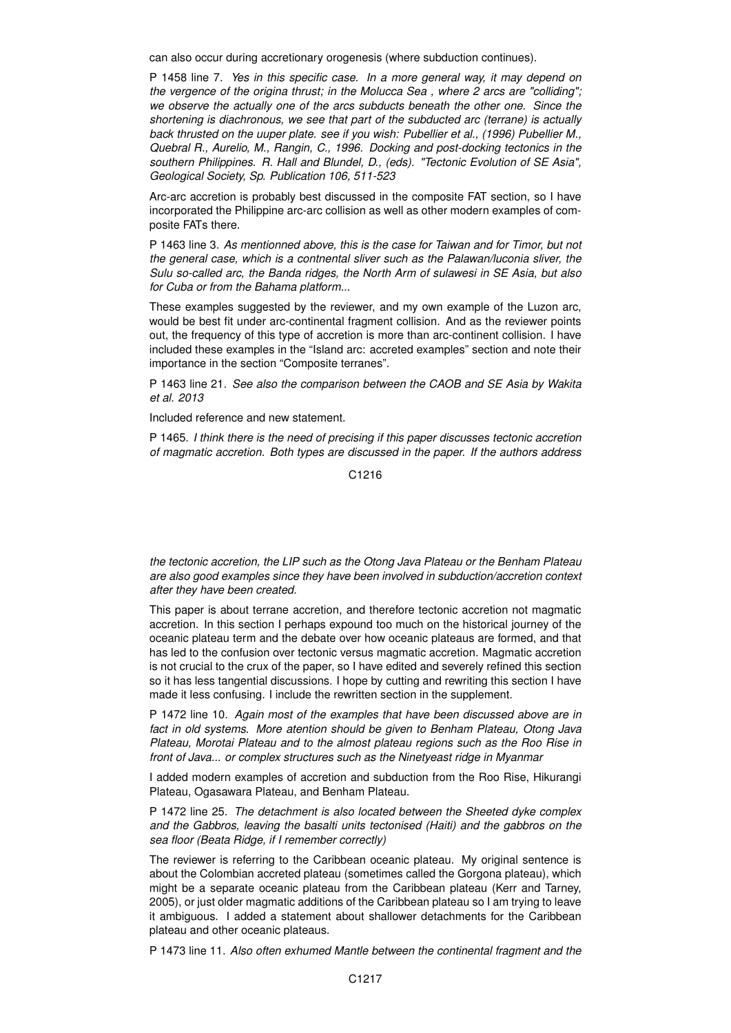can also occur during accretionary orogenesis (where subduction continues).

P 1458 line 7. *Yes in this specific case. In a more general way, it may depend on the vergence of the origina thrust; in the Molucca Sea , where 2 arcs are "colliding"; we observe the actually one of the arcs subducts beneath the other one. Since the shortening is diachronous, we see that part of the subducted arc (terrane) is actually back thrusted on the uuper plate. see if you wish: Pubellier et al., (1996) Pubellier M., Quebral R., Aurelio, M., Rangin, C., 1996. Docking and post-docking tectonics in the southern Philippines. R. Hall and Blundel, D., (eds). "Tectonic Evolution of SE Asia", Geological Society, Sp. Publication 106, 511-523*

Arc-arc accretion is probably best discussed in the composite FAT section, so I have incorporated the Philippine arc-arc collision as well as other modern examples of composite FATs there.

P 1463 line 3. *As mentionned above, this is the case for Taiwan and for Timor, but not the general case, which is a contnental sliver such as the Palawan/luconia sliver, the Sulu so-called arc, the Banda ridges, the North Arm of sulawesi in SE Asia, but also for Cuba or from the Bahama platform...*

These examples suggested by the reviewer, and my own example of the Luzon arc, would be best fit under arc-continental fragment collision. And as the reviewer points out, the frequency of this type of accretion is more than arc-continent collision. I have included these examples in the "Island arc: accreted examples" section and note their importance in the section "Composite terranes".

P 1463 line 21. *See also the comparison between the CAOB and SE Asia by Wakita et al. 2013*

Included reference and new statement.

P 1465. *I think there is the need of precising if this paper discusses tectonic accretion of magmatic accretion. Both types are discussed in the paper. If the authors address*

C1216

*the tectonic accretion, the LIP such as the Otong Java Plateau or the Benham Plateau are also good examples since they have been involved in subduction/accretion context after they have been created.*

This paper is about terrane accretion, and therefore tectonic accretion not magmatic accretion. In this section I perhaps expound too much on the historical journey of the oceanic plateau term and the debate over how oceanic plateaus are formed, and that has led to the confusion over tectonic versus magmatic accretion. Magmatic accretion is not crucial to the crux of the paper, so I have edited and severely refined this section so it has less tangential discussions. I hope by cutting and rewriting this section I have made it less confusing. I include the rewritten section in the supplement.

P 1472 line 10. *Again most of the examples that have been discussed above are in fact in old systems. More atention should be given to Benham Plateau, Otong Java Plateau, Morotai Plateau and to the almost plateau regions such as the Roo Rise in front of Java... or complex structures such as the Ninetyeast ridge in Myanmar*

I added modern examples of accretion and subduction from the Roo Rise, Hikurangi Plateau, Ogasawara Plateau, and Benham Plateau.

P 1472 line 25. *The detachment is also located between the Sheeted dyke complex and the Gabbros, leaving the basalti units tectonised (Haiti) and the gabbros on the sea floor (Beata Ridge, if I remember correctly)*

The reviewer is referring to the Caribbean oceanic plateau. My original sentence is about the Colombian accreted plateau (sometimes called the Gorgona plateau), which might be a separate oceanic plateau from the Caribbean plateau (Kerr and Tarney, 2005), or just older magmatic additions of the Caribbean plateau so I am trying to leave it ambiguous. I added a statement about shallower detachments for the Caribbean plateau and other oceanic plateaus.

P 1473 line 11. *Also often exhumed Mantle between the continental fragment and the*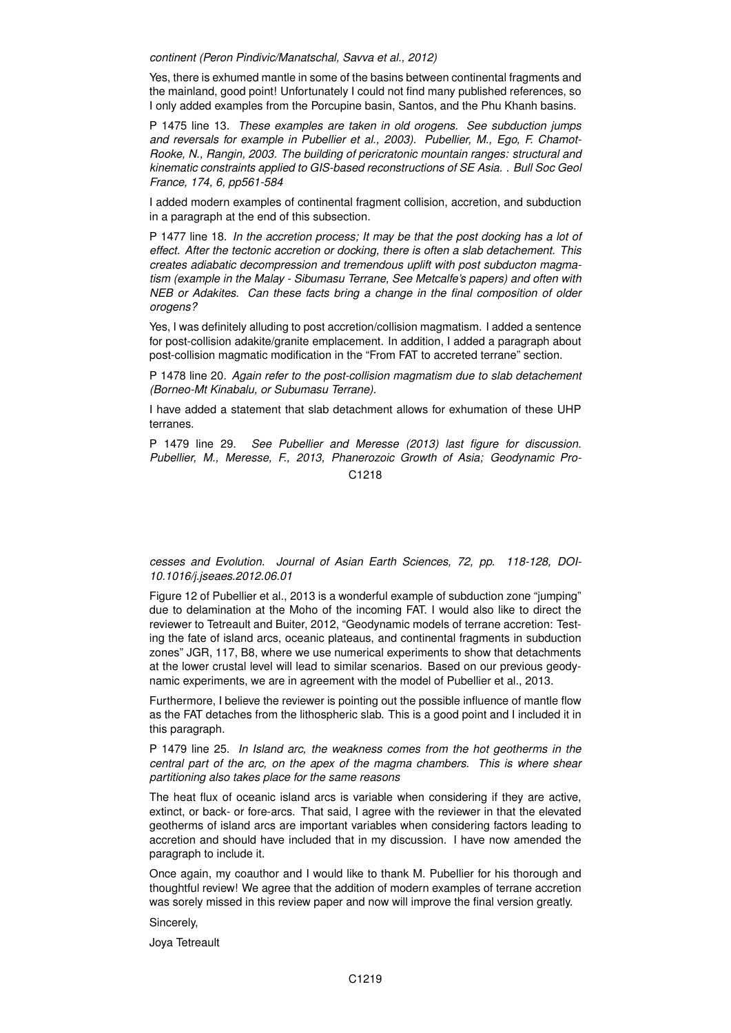*continent (Peron Pindivic/Manatschal, Savva et al., 2012)*

Yes, there is exhumed mantle in some of the basins between continental fragments and the mainland, good point! Unfortunately I could not find many published references, so I only added examples from the Porcupine basin, Santos, and the Phu Khanh basins.

P 1475 line 13. *These examples are taken in old orogens. See subduction jumps and reversals for example in Pubellier et al., 2003). Pubellier, M., Ego, F. Chamot-Rooke, N., Rangin, 2003. The building of pericratonic mountain ranges: structural and kinematic constraints applied to GIS-based reconstructions of SE Asia. . Bull Soc Geol France, 174, 6, pp561-584*

I added modern examples of continental fragment collision, accretion, and subduction in a paragraph at the end of this subsection.

P 1477 line 18. *In the accretion process; It may be that the post docking has a lot of effect. After the tectonic accretion or docking, there is often a slab detachement. This creates adiabatic decompression and tremendous uplift with post subducton magmatism (example in the Malay - Sibumasu Terrane, See Metcalfe's papers) and often with NEB or Adakites. Can these facts bring a change in the final composition of older orogens?*

Yes, I was definitely alluding to post accretion/collision magmatism. I added a sentence for post-collision adakite/granite emplacement. In addition, I added a paragraph about post-collision magmatic modification in the "From FAT to accreted terrane" section.

P 1478 line 20. *Again refer to the post-collision magmatism due to slab detachement (Borneo-Mt Kinabalu, or Subumasu Terrane).*

I have added a statement that slab detachment allows for exhumation of these UHP terranes.

P 1479 line 29. *See Pubellier and Meresse (2013) last figure for discussion. Pubellier, M., Meresse, F., 2013, Phanerozoic Growth of Asia; Geodynamic Pro-*C<sub>1218</sub>

*cesses and Evolution. Journal of Asian Earth Sciences, 72, pp. 118-128, DOI-10.1016/j.jseaes.2012.06.01*

Figure 12 of Pubellier et al., 2013 is a wonderful example of subduction zone "jumping" due to delamination at the Moho of the incoming FAT. I would also like to direct the reviewer to Tetreault and Buiter, 2012, "Geodynamic models of terrane accretion: Testing the fate of island arcs, oceanic plateaus, and continental fragments in subduction zones" JGR, 117, B8, where we use numerical experiments to show that detachments at the lower crustal level will lead to similar scenarios. Based on our previous geodynamic experiments, we are in agreement with the model of Pubellier et al., 2013.

Furthermore, I believe the reviewer is pointing out the possible influence of mantle flow as the FAT detaches from the lithospheric slab. This is a good point and I included it in this paragraph.

P 1479 line 25. *In Island arc, the weakness comes from the hot geotherms in the central part of the arc, on the apex of the magma chambers. This is where shear partitioning also takes place for the same reasons*

The heat flux of oceanic island arcs is variable when considering if they are active, extinct, or back- or fore-arcs. That said, I agree with the reviewer in that the elevated geotherms of island arcs are important variables when considering factors leading to accretion and should have included that in my discussion. I have now amended the paragraph to include it.

Once again, my coauthor and I would like to thank M. Pubellier for his thorough and thoughtful review! We agree that the addition of modern examples of terrane accretion was sorely missed in this review paper and now will improve the final version greatly.

Sincerely,

Joya Tetreault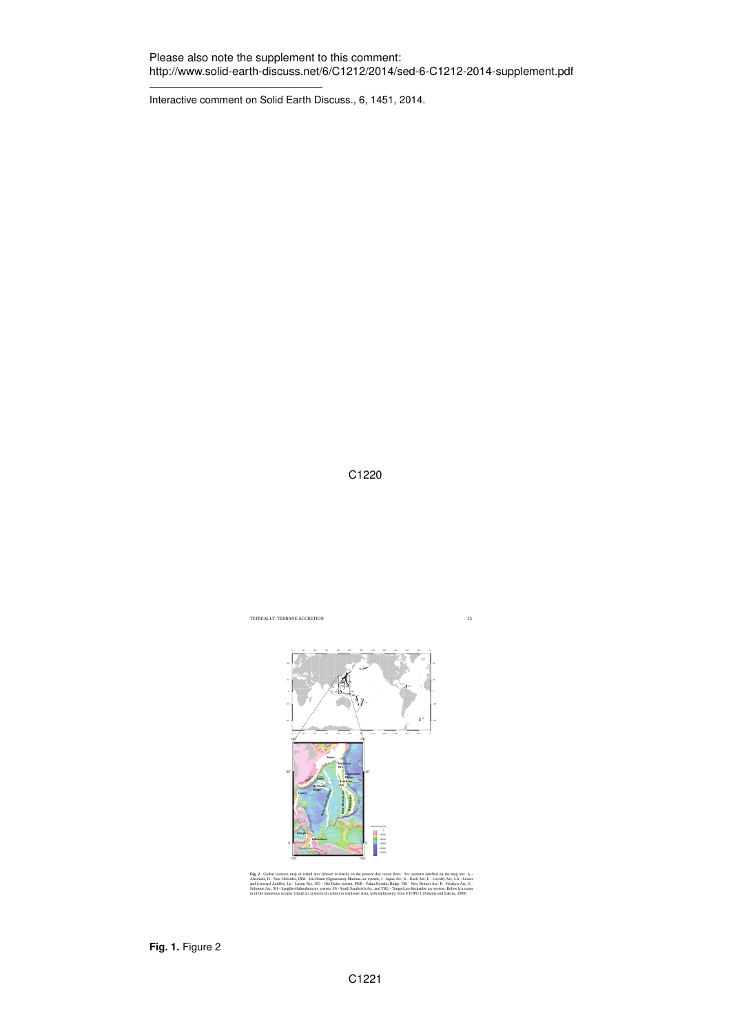Interactive comment on Solid Earth Discuss., 6, 1451, 2014.

C1220



Aleutians, H - New Hebrides, IBM - Izu-Bonin (Ogasawara)-Mariana arc system, J - Japan Arc, K - Kuril Arc, L - Loyalty Arc, LA - Lesser<br>and Leeward Antilles, Lu - Luzon Arc, OD - Oki-Daito system, PKR - Palau-Kyushu Ridge, Solomon Arc, SH - Sangihe-Halmahera arc system, SS - South Sandwich Arc, and TKL - Tonga-Lau-Kermadec arc system. Below is a zoom in of the numerous oceanic island arc systems (in white) in southeast Asia, with bathymetry from ETOPO 1 (Amante and Eakins, 2009)

**Fig. 1.** Figure 2